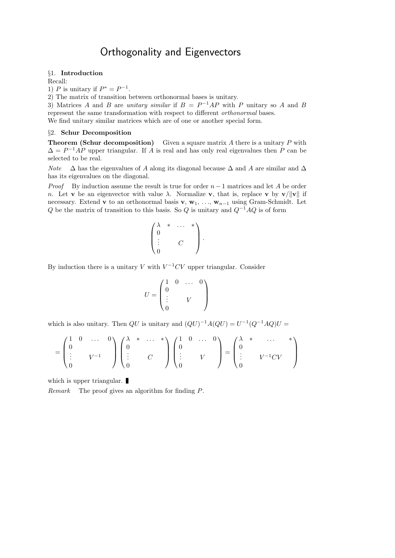# Orthogonality and Eigenvectors

## §1. Introduction

Recall:

1) P is unitary if  $P^* = P^{-1}$ .

2) The matrix of transition between orthonormal bases is unitary.

3) Matrices A and B are unitary similar if  $B = P^{-1}AP$  with P unitary so A and B represent the same transformation with respect to different orthonormal bases. We find unitary similar matrices which are of one or another special form.

## §2. Schur Decomposition

**Theorem (Schur decomposition)** Given a square matrix  $A$  there is a unitary  $P$  with  $\Delta = P^{-1}AP$  upper triangular. If A is real and has only real eigenvalues then P can be selected to be real.

Note  $\Delta$  has the eigenvalues of A along its diagonal because  $\Delta$  and A are similar and  $\Delta$ has its eigenvalues on the diagonal.

*Proof* By induction assume the result is true for order  $n-1$  matrices and let A be order n. Let **v** be an eigenvector with value  $\lambda$ . Normalize **v**, that is, replace **v** by **v**/ $\|\mathbf{v}\|$  if necessary. Extend v to an orthonormal basis v,  $w_1, \ldots, w_{n-1}$  using Gram-Schmidt. Let Q be the matrix of transition to this basis. So Q is unitary and  $Q^{-1}AQ$  is of form

$$
\begin{pmatrix}\n\lambda & * & \cdots & * \\
0 & & & \\
\vdots & & C & \\
0 & & & \n\end{pmatrix}.
$$

By induction there is a unitary V with  $V^{-1}CV$  upper triangular. Consider

$$
U = \begin{pmatrix} 1 & 0 & \dots & 0 \\ 0 & & & \\ \vdots & & & V & \\ 0 & & & & \end{pmatrix}
$$

which is also unitary. Then  $QU$  is unitary and  $(QU)^{-1}A(QU) = U^{-1}(Q^{-1}AQ)U =$ 

$$
= \begin{pmatrix} 1 & 0 & \dots & 0 \\ 0 & & & \\ \vdots & & V^{-1} & \\ 0 & & & \end{pmatrix} \begin{pmatrix} \lambda & * & \dots & * \\ 0 & & & \\ \vdots & & C & \\ 0 & & & \end{pmatrix} \begin{pmatrix} 1 & 0 & \dots & 0 \\ 0 & & & \\ \vdots & & V & \\ 0 & & & \end{pmatrix} = \begin{pmatrix} \lambda & * & \dots & * \\ 0 & & & \\ \vdots & & V^{-1}CV & \\ 0 & & & \end{pmatrix}
$$

which is upper triangular.

Remark The proof gives an algorithm for finding P.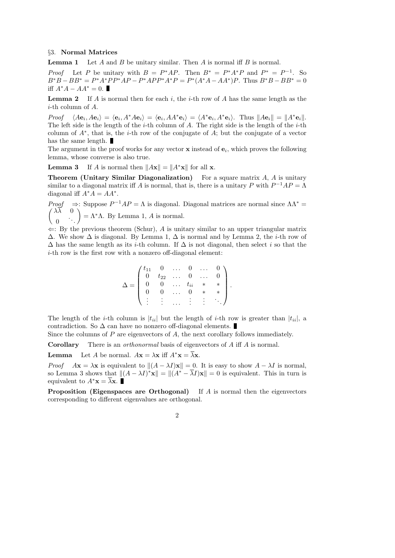### §3. Normal Matrices

**Lemma 1** Let A and B be unitary similar. Then A is normal iff B is normal.

*Proof* Let P be unitary with  $B = P^*AP$ . Then  $B^* = P^*A^*P$  and  $P^* = P^{-1}$ . So  $B^*B - BB^* = P^*A^*PP^*AP - P^*APP^*A^*P = P^*(A^*A - AA^*)P$ . Thus  $B^*B - BB^* = 0$ iff  $A^*A - AA^* = 0$ . ■

**Lemma 2** If A is normal then for each i, the *i*-th row of A has the same length as the *i*-th column of  $A$ .

*Proof*  $\langle A\mathbf{e}_i, A\mathbf{e}_i \rangle = \langle \mathbf{e}_i, A^*A\mathbf{e}_i \rangle = \langle \mathbf{e}_i, A A^* \mathbf{e}_i \rangle = \langle A^* \mathbf{e}_i, A^* \mathbf{e}_i \rangle$ . Thus  $||A\mathbf{e}_i|| = ||A^* \mathbf{e}_i||$ . The left side is the length of the  $i$ -th column of  $A$ . The right side is the length of the  $i$ -th column of  $A^*$ , that is, the *i*-th row of the conjugate of  $\overline{A}$ ; but the conjugate of a vector has the same length.

The argument in the proof works for any vector  $x$  instead of  $e_i$ , which proves the following lemma, whose converse is also true.

**Lemma 3** If A is normal then  $||A\mathbf{x}|| = ||A^*\mathbf{x}||$  for all **x**.

**Theorem (Unitary Similar Diagonalization)** For a square matrix  $A$ ,  $A$  is unitary similar to a diagonal matrix iff A is normal, that is, there is a unitary P with  $P^{-1}AP = \Lambda$ diagonal iff  $A^* \tilde{A} = AA^*$ .

Proof  $\Rightarrow$ : Suppose  $P^{-1}AP = \Lambda$  is diagonal. Diagonal matrices are normal since  $\Lambda \Lambda^* =$  $\sqrt{ }$  $\lambda\lambda = 0$  $\theta$ . . .  $=\Lambda^*\Lambda$ . By Lemma 1, A is normal.

 $\Leftarrow$ : By the previous theorem (Schur), A is unitary similar to an upper triangular matrix  $\Delta$ . We show  $\Delta$  is diagonal. By Lemma 1,  $\Delta$  is normal and by Lemma 2, the *i*-th row of  $\Delta$  has the same length as its i-th column. If  $\Delta$  is not diagonal, then select i so that the i-th row is the first row with a nonzero off-diagonal element:

$$
\Delta = \begin{pmatrix} t_{11} & 0 & \dots & 0 & \dots & 0 \\ 0 & t_{22} & \dots & 0 & \dots & 0 \\ 0 & 0 & \dots & t_{ii} & * & * \\ 0 & 0 & \dots & 0 & * & * \\ \vdots & \vdots & \dots & \vdots & \vdots & \vdots \end{pmatrix}.
$$

The length of the *i*-th column is  $|t_{ii}|$  but the length of *i*-th row is greater than  $|t_{ii}|$ , a contradiction. So  $\Delta$  can have no nonzero off-diagonal elements.

Since the columns of  $P$  are eigenvectors of  $A$ , the next corollary follows immediately.

Corollary There is an *orthonormal* basis of eigenvectors of A iff A is normal.

**Lemma** Let A be normal.  $A\mathbf{x} = \lambda \mathbf{x}$  iff  $A^* \mathbf{x} = \overline{\lambda} \mathbf{x}$ .

*Proof*  $A\mathbf{x} = \lambda \mathbf{x}$  is equivalent to  $\|(A - \lambda I)\mathbf{x}\| = 0$ . It is easy to show  $A - \lambda I$  is normal, so Lemma 3 shows that  $||(A - \lambda I)^*\mathbf{x}|| = ||(A^* - \overline{\lambda}I)\mathbf{x}|| = 0$  is equivalent. This in turn is equivalent to  $A^*{\bf x} = \lambda {\bf x}$ .

Proposition (Eigenspaces are Orthogonal) If A is normal then the eigenvectors corresponding to different eigenvalues are orthogonal.